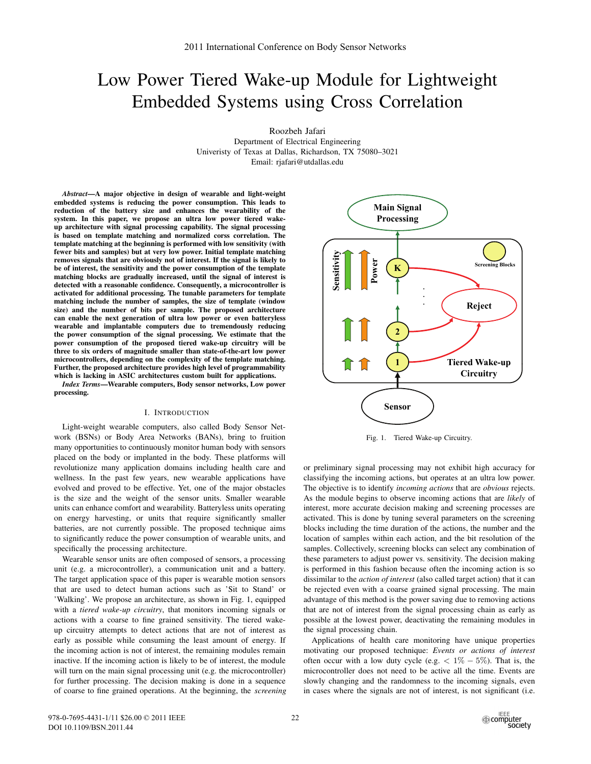# Low Power Tiered Wake-up Module for Lightweight Embedded Systems using Cross Correlation

Roozbeh Jafari

Department of Electrical Engineering Univeristy of Texas at Dallas, Richardson, TX 75080–3021 Email: rjafari@utdallas.edu

*Abstract*—A major objective in design of wearable and light-weight embedded systems is reducing the power consumption. This leads to reduction of the battery size and enhances the wearability of the system. In this paper, we propose an ultra low power tiered wakeup architecture with signal processing capability. The signal processing is based on template matching and normalized corss correlation. The template matching at the beginning is performed with low sensitivity (with fewer bits and samples) but at very low power. Initial template matching removes signals that are obviously not of interest. If the signal is likely to be of interest, the sensitivity and the power consumption of the template matching blocks are gradually increased, until the signal of interest is detected with a reasonable confidence. Consequently, a microcontroller is activated for additional processing. The tunable parameters for template matching include the number of samples, the size of template (window size) and the number of bits per sample. The proposed architecture can enable the next generation of ultra low power or even batteryless wearable and implantable computers due to tremendously reducing the power consumption of the signal processing. We estimate that the power consumption of the proposed tiered wake-up circuitry will be three to six orders of magnitude smaller than state-of-the-art low power microcontrollers, depending on the complexity of the template matching. Further, the proposed architecture provides high level of programmability which is lacking in ASIC architectures custom built for applications.

*Index Terms*—Wearable computers, Body sensor networks, Low power processing.

#### I. INTRODUCTION

Light-weight wearable computers, also called Body Sensor Network (BSNs) or Body Area Networks (BANs), bring to fruition many opportunities to continuously monitor human body with sensors placed on the body or implanted in the body. These platforms will revolutionize many application domains including health care and wellness. In the past few years, new wearable applications have evolved and proved to be effective. Yet, one of the major obstacles is the size and the weight of the sensor units. Smaller wearable units can enhance comfort and wearability. Batteryless units operating on energy harvesting, or units that require significantly smaller batteries, are not currently possible. The proposed technique aims to significantly reduce the power consumption of wearable units, and specifically the processing architecture.

Wearable sensor units are often composed of sensors, a processing unit (e.g. a microcontroller), a communication unit and a battery. The target application space of this paper is wearable motion sensors that are used to detect human actions such as 'Sit to Stand' or 'Walking'. We propose an architecture, as shown in Fig. 1, equipped with a *tiered wake-up circuitry*, that monitors incoming signals or actions with a coarse to fine grained sensitivity. The tiered wakeup circuitry attempts to detect actions that are not of interest as early as possible while consuming the least amount of energy. If the incoming action is not of interest, the remaining modules remain inactive. If the incoming action is likely to be of interest, the module will turn on the main signal processing unit (e.g. the microcontroller) for further processing. The decision making is done in a sequence of coarse to fine grained operations. At the beginning, the *screening*



Fig. 1. Tiered Wake-up Circuitry.

or preliminary signal processing may not exhibit high accuracy for classifying the incoming actions, but operates at an ultra low power. The objective is to identify *incoming actions* that are *obvious* rejects. As the module begins to observe incoming actions that are *likely* of interest, more accurate decision making and screening processes are activated. This is done by tuning several parameters on the screening blocks including the time duration of the actions, the number and the location of samples within each action, and the bit resolution of the samples. Collectively, screening blocks can select any combination of these parameters to adjust power vs. sensitivity. The decision making is performed in this fashion because often the incoming action is so dissimilar to the *action of interest* (also called target action) that it can be rejected even with a coarse grained signal processing. The main advantage of this method is the power saving due to removing actions that are not of interest from the signal processing chain as early as possible at the lowest power, deactivating the remaining modules in the signal processing chain.

Applications of health care monitoring have unique properties motivating our proposed technique: *Events or actions of interest* often occur with a low duty cycle (e.g.  $\langle 1\% - 5\% \rangle$ ). That is, the microcontroller does not need to be active all the time. Events are slowly changing and the randomness to the incoming signals, even in cases where the signals are not of interest, is not significant (i.e.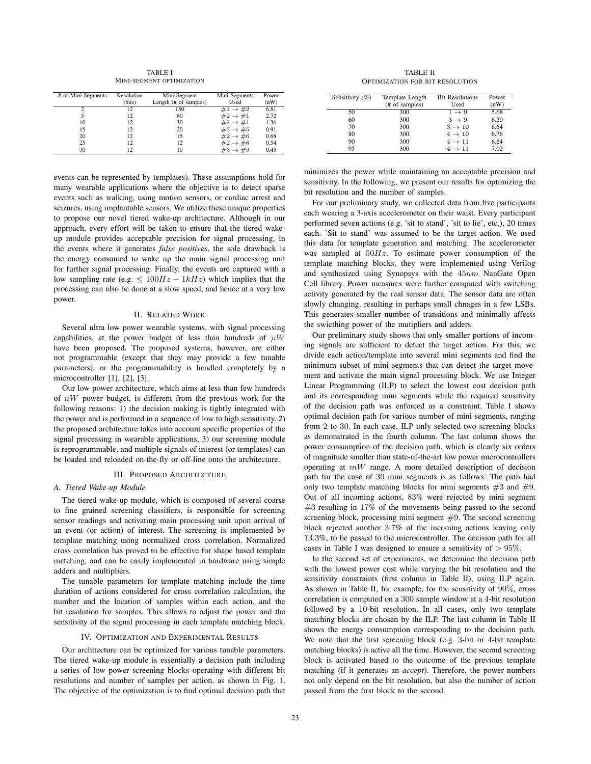TABLE I MINI-SEGMENT OPTIMIZATION

| # of Mini Segments | Resolution | Mini Segment          | Mini Segments       | Power |
|--------------------|------------|-----------------------|---------------------|-------|
|                    | (bits)     | Length (# of samples) | Used                | (nW)  |
|                    | 12         | 150                   | $#1 \rightarrow #2$ | 6.81  |
|                    | 12         | 60                    | $#2 \rightarrow #1$ | 2.72  |
| 10                 | 12         | 30                    | $#3 \rightarrow #1$ | 1.36  |
| 15                 | 12         | 20                    | $#3 \rightarrow #5$ | 0.91  |
| 20                 | 12         | 15                    | $#2 \rightarrow #6$ | 0.68  |
| 25                 | 12         | 12                    | $#2 \rightarrow #8$ | 0.54  |
| 30                 | 12         | 10                    | $#3 \rightarrow #9$ | 0.45  |

events can be represented by templates). These assumptions hold for many wearable applications where the objective is to detect sparse events such as walking, using motion sensors, or cardiac arrest and seizures, using implantable sensors. We utilize these unique properties to propose our novel tiered wake-up architecture. Although in our approach, every effort will be taken to ensure that the tiered wakeup module provides acceptable precision for signal processing, in the events where it generates *false positives*, the sole drawback is the energy consumed to wake up the main signal processing unit for further signal processing. Finally, the events are captured with a low sampling rate (e.g.  $\leq 100Hz - 1kHz$ ) which implies that the processing can also be done at a slow speed, and hence at a very low power.

### II. RELATED WORK

Several ultra low power wearable systems, with signal processing capabilities, at the power budget of less than hundreds of  $\mu$ W have been proposed. The proposed systems, however, are either not programmable (except that they may provide a few tunable parameters), or the programmability is handled completely by a microcontroller [1], [2], [3].

Our low power architecture, which aims at less than few hundreds of  $nW$  power budget, is different from the previous work for the following reasons: 1) the decision making is tightly integrated with the power and is performed in a sequence of low to high sensitivity, 2) the proposed architecture takes into account specific properties of the signal processing in wearable applications, 3) our screening module is reprogrammable, and multiple signals of interest (or templates) can be loaded and reloaded on-the-fly or off-line onto the architecture.

#### III. PROPOSED ARCHITECTURE

# *A. Tiered Wake-up Module*

The tiered wake-up module, which is composed of several coarse to fine grained screening classifiers, is responsible for screening sensor readings and activating main processing unit upon arrival of an event (or action) of interest. The screening is implemented by template matching using normalized cross correlation. Normalized cross correlation has proved to be effective for shape based template matching, and can be easily implemented in hardware using simple adders and multipliers.

The tunable parameters for template matching include the time duration of actions considered for cross correlation calculation, the number and the location of samples within each action, and the bit resolution for samples. This allows to adjust the power and the sensitivity of the signal processing in each template matching block.

#### IV. OPTIMIZATION AND EXPERIMENTAL RESULTS

Our architecture can be optimized for various tunable parameters. The tiered wake-up module is essentially a decision path including a series of low power screening blocks operating with different bit resolutions and number of samples per action, as shown in Fig. 1. The objective of the optimization is to find optimal decision path that

TABLE II OPTIMIZATION FOR BIT RESOLUTION

| Sensitivity $(\%)$ | Template Length | <b>Bit Resolutions</b> | Power |
|--------------------|-----------------|------------------------|-------|
|                    | (# of samples)  | Used                   | (nW)  |
| 50                 | 300             | $1 \rightarrow 9$      | 5.68  |
| 60                 | 300             | $3 \rightarrow 9$      | 6.20  |
| 70                 | 300             | $3 \rightarrow 10$     | 6.64  |
| 80                 | 300             | $4 \rightarrow 10$     | 6.76  |
| 90                 | 300             | $4 \rightarrow 11$     | 6.84  |
| 95                 | 300             | $4 \rightarrow 11$     | 7.02  |

minimizes the power while maintaining an acceptable precision and sensitivity. In the following, we present our results for optimizing the bit resolution and the number of samples.

For our preliminary study, we collected data from five participants each wearing a 3-axis accelerometer on their waist. Every participant performed seven actions (e.g. 'sit to stand', 'sit to lie', etc.), 20 times each. 'Sit to stand' was assumed to be the target action. We used this data for template generation and matching. The accelerometer was sampled at  $50Hz$ . To estimate power consumption of the template matching blocks, they were implemented using Verilog and synthesized using Synopsys with the 45nm NanGate Open Cell library. Power measures were further computed with switching activity generated by the real sensor data. The sensor data are often slowly changing, resulting in perhaps small chnages in a few LSBs. This generates smaller number of transitions and minimally affects the swicthing power of the mutipliers and adders.

Our preliminary study shows that only smaller portions of incoming signals are sufficient to detect the target action. For this, we divide each action/template into several mini segments and find the minimum subset of mini segments that can detect the target movement and activate the main signal processing block. We use Integer Linear Programming (ILP) to select the lowest cost decision path and its corresponding mini segments while the required sensitivity of the decision path was enforced as a constraint. Table I shows optimal decision path for various number of mini segments, ranging from 2 to 30. In each case, ILP only selected two screening blocks as demonstrated in the fourth column. The last column shows the power consumption of the decision path, which is clearly six orders of magnitude smaller than state-of-the-art low power microcontrollers operating at  $mW$  range. A more detailed description of decision path for the case of 30 mini segments is as follows: The path had only two template matching blocks for mini segments  $#3$  and  $#9$ . Out of all incoming actions, 83% were rejected by mini segment #3 resulting in 17% of the movements being passed to the second screening block, processing mini segment #9. The second screening block rejected another 3.7% of the incoming actions leaving only 13.3%, to be passed to the microcontroller. The decision path for all cases in Table I was designed to ensure a sensitivity of  $> 95\%$ .

In the second set of experiments, we determine the decision path with the lowest power cost while varying the bit resolution and the sensitivity constraints (first column in Table II), using ILP again. As shown in Table II, for example, for the sensitivity of 90%, cross correlation is computed on a 300 sample window at a 4-bit resolution followed by a 10-bit resolution. In all cases, only two template matching blocks are chosen by the ILP. The last column in Table II shows the energy consumption corresponding to the decision path. We note that the first screening block (e.g. 3-bit or 4-bit template matching blocks) is active all the time. However, the second screening block is activated based to the outcome of the previous template matching (if it generates an *accept*). Therefore, the power numbers not only depend on the bit resolution, but also the number of action passed from the first block to the second.